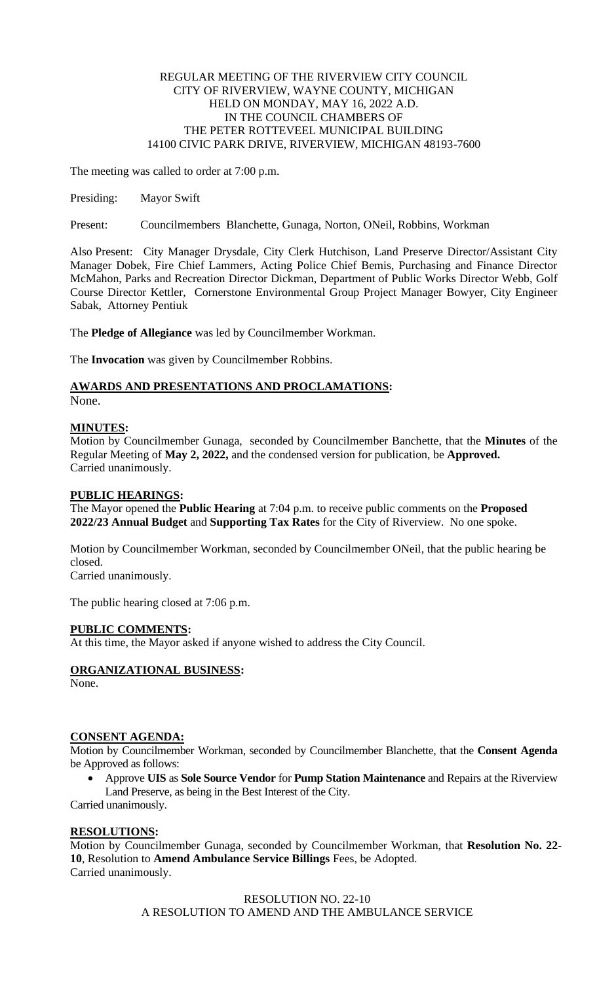#### REGULAR MEETING OF THE RIVERVIEW CITY COUNCIL CITY OF RIVERVIEW, WAYNE COUNTY, MICHIGAN HELD ON MONDAY, MAY 16, 2022 A.D. IN THE COUNCIL CHAMBERS OF THE PETER ROTTEVEEL MUNICIPAL BUILDING 14100 CIVIC PARK DRIVE, RIVERVIEW, MICHIGAN 48193-7600

The meeting was called to order at 7:00 p.m.

Presiding: Mayor Swift

Present: Councilmembers Blanchette, Gunaga, Norton, ONeil, Robbins, Workman

Also Present: City Manager Drysdale, City Clerk Hutchison, Land Preserve Director/Assistant City Manager Dobek, Fire Chief Lammers, Acting Police Chief Bemis, Purchasing and Finance Director McMahon, Parks and Recreation Director Dickman, Department of Public Works Director Webb, Golf Course Director Kettler, Cornerstone Environmental Group Project Manager Bowyer, City Engineer Sabak, Attorney Pentiuk

The **Pledge of Allegiance** was led by Councilmember Workman.

The **Invocation** was given by Councilmember Robbins.

# **AWARDS AND PRESENTATIONS AND PROCLAMATIONS:**

None.

# **MINUTES:**

Motion by Councilmember Gunaga, seconded by Councilmember Banchette, that the **Minutes** of the Regular Meeting of **May 2, 2022,** and the condensed version for publication, be **Approved.** Carried unanimously.

#### **PUBLIC HEARINGS:**

The Mayor opened the **Public Hearing** at 7:04 p.m. to receive public comments on the **Proposed 2022/23 Annual Budget** and **Supporting Tax Rates** for the City of Riverview. No one spoke.

Motion by Councilmember Workman, seconded by Councilmember ONeil, that the public hearing be closed.

Carried unanimously.

The public hearing closed at 7:06 p.m.

# **PUBLIC COMMENTS:**

At this time, the Mayor asked if anyone wished to address the City Council.

# **ORGANIZATIONAL BUSINESS:**

None.

# **CONSENT AGENDA:**

Motion by Councilmember Workman, seconded by Councilmember Blanchette, that the **Consent Agenda** be Approved as follows:

• Approve **UIS** as **Sole Source Vendor** for **Pump Station Maintenance** and Repairs at the Riverview Land Preserve, as being in the Best Interest of the City.

Carried unanimously.

# **RESOLUTIONS:**

Motion by Councilmember Gunaga, seconded by Councilmember Workman, that **Resolution No. 22- 10**, Resolution to **Amend Ambulance Service Billings** Fees, be Adopted. Carried unanimously.

> RESOLUTION NO. 22-10 A RESOLUTION TO AMEND AND THE AMBULANCE SERVICE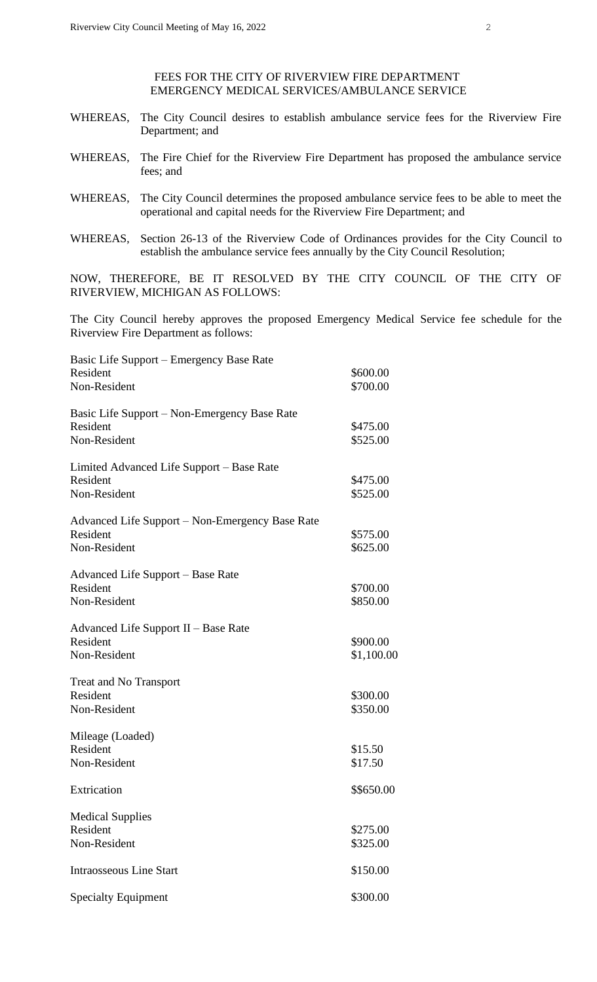FEES FOR THE CITY OF RIVERVIEW FIRE DEPARTMENT EMERGENCY MEDICAL SERVICES/AMBULANCE SERVICE

- WHEREAS, The City Council desires to establish ambulance service fees for the Riverview Fire Department; and
- WHEREAS, The Fire Chief for the Riverview Fire Department has proposed the ambulance service fees; and
- WHEREAS, The City Council determines the proposed ambulance service fees to be able to meet the operational and capital needs for the Riverview Fire Department; and
- WHEREAS, Section 26-13 of the Riverview Code of Ordinances provides for the City Council to establish the ambulance service fees annually by the City Council Resolution;

NOW, THEREFORE, BE IT RESOLVED BY THE CITY COUNCIL OF THE CITY OF RIVERVIEW, MICHIGAN AS FOLLOWS:

The City Council hereby approves the proposed Emergency Medical Service fee schedule for the Riverview Fire Department as follows:

| Basic Life Support – Emergency Base Rate        |            |
|-------------------------------------------------|------------|
| Resident                                        | \$600.00   |
| Non-Resident                                    | \$700.00   |
| Basic Life Support - Non-Emergency Base Rate    |            |
| Resident                                        | \$475.00   |
| Non-Resident                                    | \$525.00   |
| Limited Advanced Life Support – Base Rate       |            |
| Resident                                        | \$475.00   |
| Non-Resident                                    | \$525.00   |
| Advanced Life Support – Non-Emergency Base Rate |            |
| Resident                                        | \$575.00   |
| Non-Resident                                    | \$625.00   |
| Advanced Life Support – Base Rate               |            |
| Resident                                        | \$700.00   |
| Non-Resident                                    | \$850.00   |
| Advanced Life Support II – Base Rate            |            |
| Resident                                        | \$900.00   |
| Non-Resident                                    | \$1,100.00 |
| <b>Treat and No Transport</b>                   |            |
| Resident                                        | \$300.00   |
| Non-Resident                                    | \$350.00   |
| Mileage (Loaded)                                |            |
| Resident                                        | \$15.50    |
| Non-Resident                                    | \$17.50    |
| Extrication                                     | \$\$650.00 |
| <b>Medical Supplies</b>                         |            |
| Resident                                        | \$275.00   |
| Non-Resident                                    | \$325.00   |
| <b>Intraosseous Line Start</b>                  | \$150.00   |
| <b>Specialty Equipment</b>                      | \$300.00   |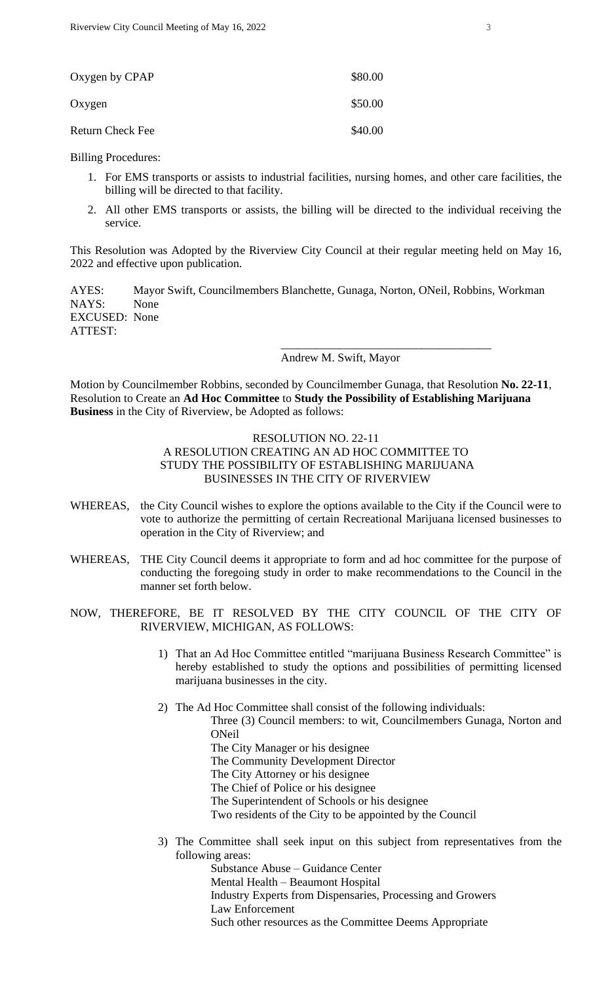| Oxygen by CPAP          | \$80.00 |
|-------------------------|---------|
| Oxygen                  | \$50.00 |
| <b>Return Check Fee</b> | \$40.00 |

Billing Procedures:

- 1. For EMS transports or assists to industrial facilities, nursing homes, and other care facilities, the billing will be directed to that facility.
- 2. All other EMS transports or assists, the billing will be directed to the individual receiving the service.

This Resolution was Adopted by the Riverview City Council at their regular meeting held on May 16, 2022 and effective upon publication.

AYES: Mayor Swift, Councilmembers Blanchette, Gunaga, Norton, ONeil, Robbins, Workman NAYS: None EXCUSED: None ATTEST: \_\_\_\_\_\_\_\_\_\_\_\_\_\_\_\_\_\_\_\_\_\_\_\_\_\_\_\_\_\_\_\_\_\_\_\_

Andrew M. Swift, Mayor

Motion by Councilmember Robbins, seconded by Councilmember Gunaga, that Resolution **No. 22-11**, Resolution to Create an **Ad Hoc Committee** to **Study the Possibility of Establishing Marijuana Business** in the City of Riverview, be Adopted as follows:

# RESOLUTION NO. 22-11 A RESOLUTION CREATING AN AD HOC COMMITTEE TO STUDY THE POSSIBILITY OF ESTABLISHING MARIJUANA BUSINESSES IN THE CITY OF RIVERVIEW

- WHEREAS, the City Council wishes to explore the options available to the City if the Council were to vote to authorize the permitting of certain Recreational Marijuana licensed businesses to operation in the City of Riverview; and
- WHEREAS, THE City Council deems it appropriate to form and ad hoc committee for the purpose of conducting the foregoing study in order to make recommendations to the Council in the manner set forth below.
- NOW, THEREFORE, BE IT RESOLVED BY THE CITY COUNCIL OF THE CITY OF RIVERVIEW, MICHIGAN, AS FOLLOWS:
	- 1) That an Ad Hoc Committee entitled "marijuana Business Research Committee" is hereby established to study the options and possibilities of permitting licensed marijuana businesses in the city.
	- 2) The Ad Hoc Committee shall consist of the following individuals:

Three (3) Council members: to wit, Councilmembers Gunaga, Norton and ONeil

- The City Manager or his designee
- The Community Development Director
- The City Attorney or his designee
- The Chief of Police or his designee
- The Superintendent of Schools or his designee
- Two residents of the City to be appointed by the Council
- 3) The Committee shall seek input on this subject from representatives from the following areas:

Substance Abuse – Guidance Center Mental Health – Beaumont Hospital Industry Experts from Dispensaries, Processing and Growers Law Enforcement Such other resources as the Committee Deems Appropriate